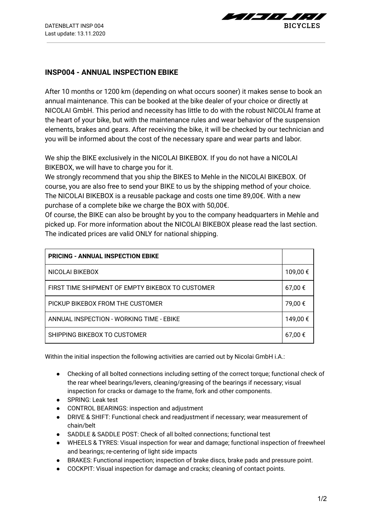$\sim$   $\sim$   $\sim$   $\sim$ **BICYCLES** 

## **INSP004 - ANNUAL INSPECTION EBIKE**

After 10 months or 1200 km (depending on what occurs sooner) it makes sense to book an annual maintenance. This can be booked at the bike dealer of your choice or directly at NICOLAI GmbH. This period and necessity has little to do with the robust NICOLAI frame at the heart of your bike, but with the maintenance rules and wear behavior of the suspension elements, brakes and gears. After receiving the bike, it will be checked by our technician and you will be informed about the cost of the necessary spare and wear parts and labor.

We ship the BIKE exclusively in the NICOLAI BIKEBOX. If you do not have a NICOLAI BIKEBOX, we will have to charge you for it.

We strongly recommend that you ship the BIKES to Mehle in the NICOLAI BIKEBOX. Of course, you are also free to send your BIKE to us by the shipping method of your choice. The NICOLAI BIKEBOX is a reusable package and costs one time 89,00€. With a new purchase of a complete bike we charge the BOX with 50,00€.

Of course, the BIKE can also be brought by you to the company headquarters in Mehle and picked up. For more information about the NICOLAI BIKEBOX please read the last section. The indicated prices are valid ONLY for national shipping.

| <b>PRICING - ANNUAL INSPECTION EBIKE</b>         |          |
|--------------------------------------------------|----------|
| NICOLAI BIKEBOX                                  | 109,00 € |
| FIRST TIME SHIPMENT OF EMPTY BIKEBOX TO CUSTOMER | 67,00 €  |
| PICKUP BIKEBOX FROM THE CUSTOMER                 | 79,00 €  |
| ANNUAL INSPECTION - WORKING TIME - EBIKE         | 149,00 € |
| SHIPPING BIKEBOX TO CUSTOMER                     | 67,00 €  |

Within the initial inspection the following activities are carried out by Nicolai GmbH i.A.:

- Checking of all bolted connections including setting of the correct torque; functional check of the rear wheel bearings/levers, cleaning/greasing of the bearings if necessary; visual inspection for cracks or damage to the frame, fork and other components.
- SPRING: Leak test
- CONTROL BEARINGS: inspection and adjustment
- DRIVE & SHIFT: Functional check and readjustment if necessary; wear measurement of chain/belt
- SADDLE & SADDLE POST: Check of all bolted connections; functional test
- WHEELS & TYRES: Visual inspection for wear and damage; functional inspection of freewheel and bearings; re-centering of light side impacts
- BRAKES: Functional inspection; inspection of brake discs, brake pads and pressure point.
- COCKPIT: Visual inspection for damage and cracks; cleaning of contact points.